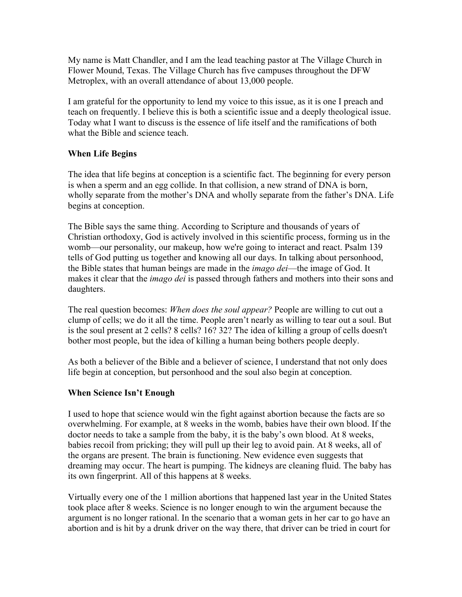My name is Matt Chandler, and I am the lead teaching pastor at The Village Church in Flower Mound, Texas. The Village Church has five campuses throughout the DFW Metroplex, with an overall attendance of about 13,000 people.

I am grateful for the opportunity to lend my voice to this issue, as it is one I preach and teach on frequently. I believe this is both a scientific issue and a deeply theological issue. Today what I want to discuss is the essence of life itself and the ramifications of both what the Bible and science teach.

## **When Life Begins**

The idea that life begins at conception is a scientific fact. The beginning for every person is when a sperm and an egg collide. In that collision, a new strand of DNA is born, wholly separate from the mother's DNA and wholly separate from the father's DNA. Life begins at conception.

The Bible says the same thing. According to Scripture and thousands of years of Christian orthodoxy, God is actively involved in this scientific process, forming us in the womb—our personality, our makeup, how we're going to interact and react. Psalm 139 tells of God putting us together and knowing all our days. In talking about personhood, the Bible states that human beings are made in the *imago dei*—the image of God. It makes it clear that the *imago dei* is passed through fathers and mothers into their sons and daughters.

The real question becomes: *When does the soul appear?* People are willing to cut out a clump of cells; we do it all the time. People aren't nearly as willing to tear out a soul. But is the soul present at 2 cells? 8 cells? 16? 32? The idea of killing a group of cells doesn't bother most people, but the idea of killing a human being bothers people deeply.

As both a believer of the Bible and a believer of science, I understand that not only does life begin at conception, but personhood and the soul also begin at conception.

## **When Science Isn't Enough**

I used to hope that science would win the fight against abortion because the facts are so overwhelming. For example, at 8 weeks in the womb, babies have their own blood. If the doctor needs to take a sample from the baby, it is the baby's own blood. At 8 weeks, babies recoil from pricking; they will pull up their leg to avoid pain. At 8 weeks, all of the organs are present. The brain is functioning. New evidence even suggests that dreaming may occur. The heart is pumping. The kidneys are cleaning fluid. The baby has its own fingerprint. All of this happens at 8 weeks.

Virtually every one of the 1 million abortions that happened last year in the United States took place after 8 weeks. Science is no longer enough to win the argument because the argument is no longer rational. In the scenario that a woman gets in her car to go have an abortion and is hit by a drunk driver on the way there, that driver can be tried in court for